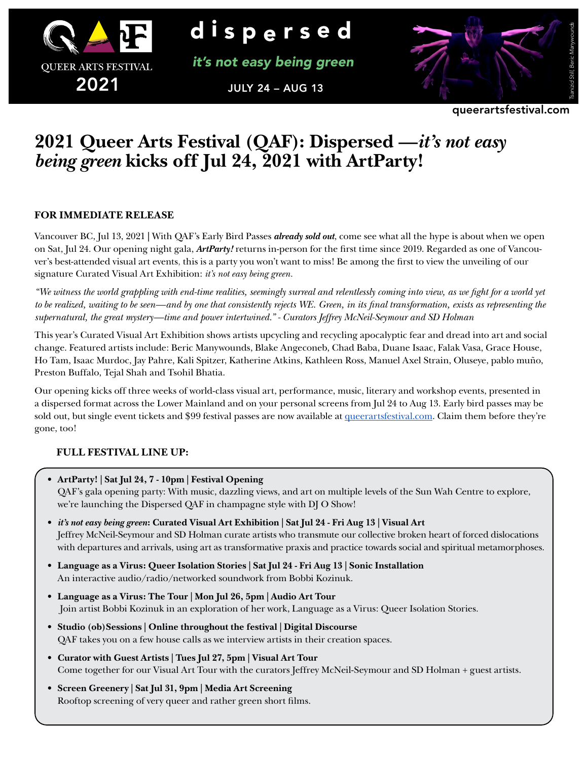

d ispersed

*it's not easy being green*

JULY 24 – AUG 13



queerartsfestival.com

# **2021 Queer Arts Festival (QAF): Dispersed —***it's not easy being green* **kicks off Jul 24, 2021 with ArtParty!**

### **FOR IMMEDIATE RELEASE**

Vancouver BC, Jul 13, 2021 **|** With QAF's Early Bird Passes *already sold out*, come see what all the hype is about when we open on Sat, Jul 24. Our opening night gala, *ArtParty!* returns in-person for the first time since 2019. Regarded as one of Vancouver's best-attended visual art events, this is a party you won't want to miss! Be among the first to view the unveiling of our signature Curated Visual Art Exhibition: *it's not easy being green.* 

*"We witness the world grappling with end-time realities, seemingly surreal and relentlessly coming into view, as we fight for a world yet to be realized, waiting to be seen—and by one that consistently rejects WE. Green, in its final transformation, exists as representing the supernatural, the great mystery—time and power intertwined." - Curators Jeffrey McNeil-Seymour and SD Holman*

This year's Curated Visual Art Exhibition shows artists upcycling and recycling apocalyptic fear and dread into art and social change. Featured artists include: Beric Manywounds, Blake Angeconeb, Chad Baba, Duane Isaac, Falak Vasa, Grace House, Ho Tam, Isaac Murdoc, Jay Pahre, Kali Spitzer, Katherine Atkins, Kathleen Ross, Manuel Axel Strain, Oluseye, pablo muño, Preston Buffalo, Tejal Shah and Tsohil Bhatia.

Our opening kicks off three weeks of world-class visual art, performance, music, literary and workshop events, presented in a dispersed format across the Lower Mainland and on your personal screens from Jul 24 to Aug 13. Early bird passes may be sold out, but single event tickets and \$99 festival passes are now available at [queerartsfestival.com](http://www.queerartsfestival.com). Claim them before they're gone, too!

## **FULL FESTIVAL LINE UP:**

- **• ArtParty! | Sat Jul 24, 7 10pm | Festival Opening** QAF's gala opening party: With music, dazzling views, and art on multiple levels of the Sun Wah Centre to explore, we're launching the Dispersed QAF in champagne style with DJ O Show!
- **•** *it's not easy being green***: Curated Visual Art Exhibition | Sat Jul 24 Fri Aug 13 | Visual Art** Jeffrey McNeil-Seymour and SD Holman curate artists who transmute our collective broken heart of forced dislocations with departures and arrivals, using art as transformative praxis and practice towards social and spiritual metamorphoses.
- **• Language as a Virus: Queer Isolation Stories | Sat Jul 24 Fri Aug 13 | Sonic Installation**  An interactive audio/radio/networked soundwork from Bobbi Kozinuk.
- **• Language as a Virus: The Tour | Mon Jul 26, 5pm | Audio Art Tour**  Join artist Bobbi Kozinuk in an exploration of her work, Language as a Virus: Queer Isolation Stories.
- **• Studio (ob)Sessions | Online throughout the festival | Digital Discourse** QAF takes you on a few house calls as we interview artists in their creation spaces.
- **• Curator with Guest Artists | Tues Jul 27, 5pm | Visual Art Tour** Come together for our Visual Art Tour with the curators Jeffrey McNeil-Seymour and SD Holman + guest artists.
- **• Screen Greenery | Sat Jul 31, 9pm | Media Art Screening** Rooftop screening of very queer and rather green short films.